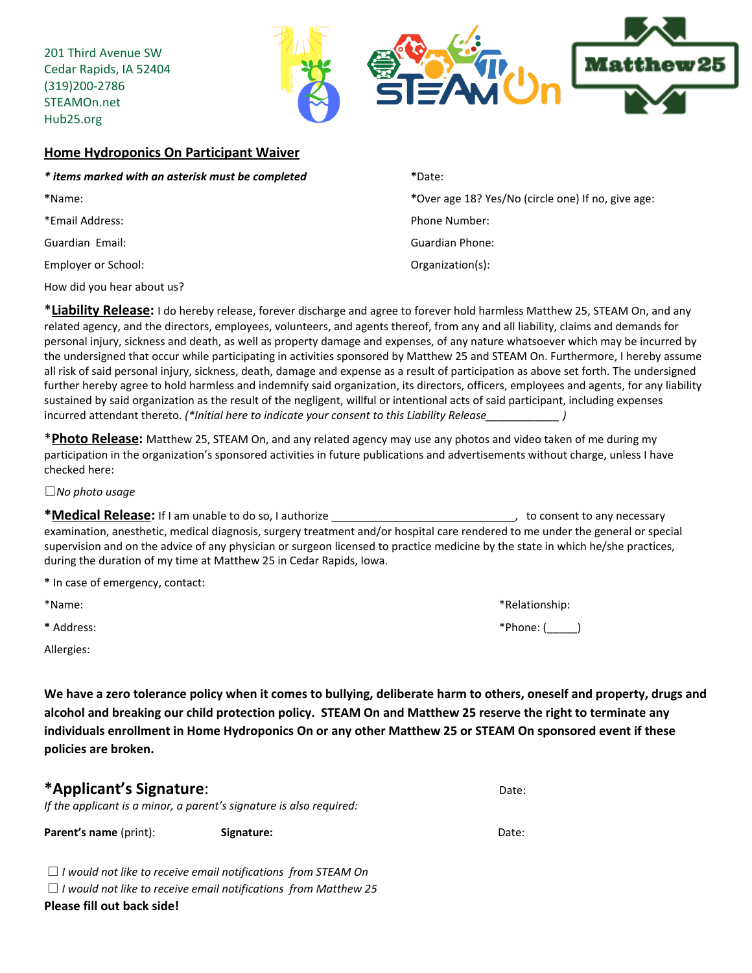201 Third Avenue SW Cedar Rapids, IA 52404 (319)200-2786 STEAMOn.net Hub25.org



## **Home Hydroponics On Participant Waiver**

| * items marked with an asterisk must be completed | *Date:                                             |  |  |  |
|---------------------------------------------------|----------------------------------------------------|--|--|--|
| *Name:                                            | *Over age 18? Yes/No (circle one) If no, give age: |  |  |  |
| *Email Address:                                   | Phone Number:                                      |  |  |  |
| Guardian Email:                                   | Guardian Phone:                                    |  |  |  |
| Employer or School:                               | Organization(s):                                   |  |  |  |
| How did you hear about us?                        |                                                    |  |  |  |
|                                                   |                                                    |  |  |  |

\***Liability Release:** <sup>I</sup> do hereby release, forever discharge and agree to forever hold harmless Matthew 25, STEAM On, and any related agency, and the directors, employees, volunteers, and agents thereof, from any and all liability, claims and demands for personal injury, sickness and death, as well as property damage and expenses, of any nature whatsoever which may be incurred by the undersigned that occur while participating in activities sponsored by Matthew 25 and STEAM On. Furthermore, I hereby assume all risk of said personal injury, sickness, death, damage and expense as a result of participation as above set forth. The undersigned further hereby agree to hold harmless and indemnify said organization, its directors, officers, employees and agents, for any liability sustained by said organization as the result of the negligent, willful or intentional acts of said participant, including expenses incurred attendant thereto. *(\*Initial here to indicate your consent to this Liability Release\_\_\_\_\_\_\_\_\_\_\_\_ )*

\***Photo Release:** Matthew 25, STEAM On, and any related agency may use any photos and video taken of me during my participation in the organization's sponsored activities in future publications and advertisements without charge, unless I have checked here:

☐*No photo usage*

**\*Medical Release:** If <sup>I</sup> am unable to do so, <sup>I</sup> authorize \_\_\_\_\_\_\_\_\_\_\_\_\_\_\_\_\_\_\_\_\_\_\_\_\_\_\_\_\_\_, to consent to any necessary examination, anesthetic, medical diagnosis, surgery treatment and/or hospital care rendered to me under the general or special supervision and on the advice of any physician or surgeon licensed to practice medicine by the state in which he/she practices, during the duration of my time at Matthew 25 in Cedar Rapids, Iowa.

**\*** In case of emergency, contact:

\*Name: \*Relationship:

Allergies:

**\*** Address: \*Phone: (\_\_\_\_\_)

We have a zero tolerance policy when it comes to bullying, deliberate harm to others, oneself and property, drugs and alcohol and breaking our child protection policy. STEAM On and Matthew 25 reserve the right to terminate any individuals enrollment in Home Hydroponics On or any other Matthew 25 or STEAM On sponsored event if these **policies are broken.**

| *Applicant's Signature: | Date: |
|-------------------------|-------|
|                         |       |

*If the applicant is a minor, a parent's signature is also required:*

**Parent's name** (print): **Signature: Signature:** Date: Date:

☐ *I would not like to receive email notifications from STEAM On*

☐ *I would not like to receive email notifications from Matthew 25*

**Please fill out back side!**